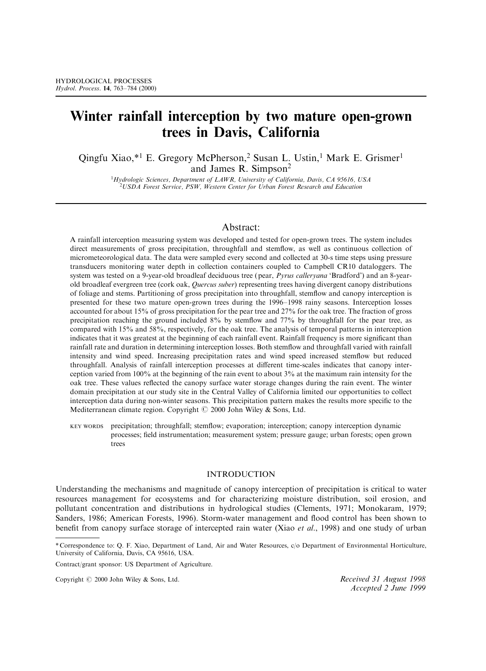# Winter rainfall interception by two mature open-grown trees in Davis, California

Qingfu Xiao,\*<sup>1</sup> E. Gregory McPherson,<sup>2</sup> Susan L. Ustin,<sup>1</sup> Mark E. Grismer<sup>1</sup> and James R. Simpson<sup>2</sup>

> $1$ Hydrologic Sciences, Department of LAWR, University of California, Davis, CA 95616, USA <sup>2</sup>USDA Forest Service, PSW, Western Center for Urban Forest Research and Education

# Abstract:

A rainfall interception measuring system was developed and tested for open-grown trees. The system includes direct measurements of gross precipitation, throughfall and stemflow, as well as continuous collection of micrometeorological data. The data were sampled every second and collected at 30-s time steps using pressure transducers monitoring water depth in collection containers coupled to Campbell CR10 dataloggers. The system was tested on a 9-year-old broadleaf deciduous tree (pear, Pyrus calleryana 'Bradford') and an 8-yearold broadleaf evergreen tree (cork oak, Quercus suber) representing trees having divergent canopy distributions of foliage and stems. Partitioning of gross precipitation into throughfall, stemflow and canopy interception is presented for these two mature open-grown trees during the 1996–1998 rainy seasons. Interception losses accounted for about 15% of gross precipitation for the pear tree and 27% for the oak tree. The fraction of gross precipitation reaching the ground included  $8\%$  by stemflow and  $77\%$  by throughfall for the pear tree, as compared with 15% and 58%, respectively, for the oak tree. The analysis of temporal patterns in interception indicates that it was greatest at the beginning of each rainfall event. Rainfall frequency is more significant than rainfall rate and duration in determining interception losses. Both stemflow and throughfall varied with rainfall intensity and wind speed. Increasing precipitation rates and wind speed increased stemflow but reduced throughfall. Analysis of rainfall interception processes at different time-scales indicates that canopy interception varied from 100% at the beginning of the rain event to about 3% at the maximum rain intensity for the oak tree. These values reflected the canopy surface water storage changes during the rain event. The winter domain precipitation at our study site in the Central Valley of California limited our opportunities to collect interception data during non-winter seasons. This precipitation pattern makes the results more specific to the Mediterranean climate region. Copyright  $\odot$  2000 John Wiley & Sons, Ltd.

KEY WORDS precipitation; throughfall; stemflow; evaporation; interception; canopy interception dynamic processes; field instrumentation; measurement system; pressure gauge; urban forests; open grown trees

# INTRODUCTION

Understanding the mechanisms and magnitude of canopy interception of precipitation is critical to water resources management for ecosystems and for characterizing moisture distribution, soil erosion, and pollutant concentration and distributions in hydrological studies (Clements, 1971; Monokaram, 1979; Sanders, 1986; American Forests, 1996). Storm-water management and flood control has been shown to benefit from canopy surface storage of intercepted rain water (Xiao *et al.*, 1998) and one study of urban

Copyright  $\odot$  2000 John Wiley & Sons, Ltd. Received 31 August 1998

Accepted 2 June 1999

<sup>\*</sup> Correspondence to: Q. F. Xiao, Department of Land, Air and Water Resources, c/o Department of Environmental Horticulture, University of California, Davis, CA 95616, USA.

Contract/grant sponsor: US Department of Agriculture.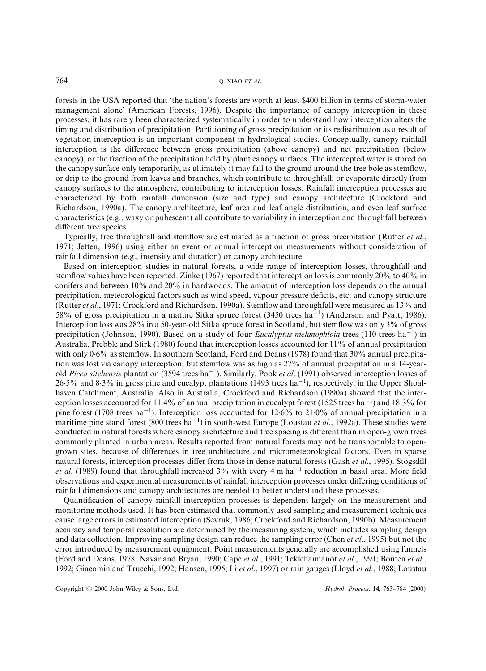forests in the USA reported that `the nation's forests are worth at least \$400 billion in terms of storm-water management alone' (American Forests, 1996). Despite the importance of canopy interception in these processes, it has rarely been characterized systematically in order to understand how interception alters the timing and distribution of precipitation. Partitioning of gross precipitation or its redistribution as a result of vegetation interception is an important component in hydrological studies. Conceptually, canopy rainfall interception is the difference between gross precipitation (above canopy) and net precipitation (below canopy), or the fraction of the precipitation held by plant canopy surfaces. The intercepted water is stored on the canopy surface only temporarily, as ultimately it may fall to the ground around the tree bole as stemflow, or drip to the ground from leaves and branches, which contribute to throughfall; or evaporate directly from canopy surfaces to the atmosphere, contributing to interception losses. Rainfall interception processes are characterized by both rainfall dimension (size and type) and canopy architecture (Crockford and Richardson, 1990a). The canopy architecture, leaf area and leaf angle distribution, and even leaf surface characteristics (e.g., waxy or pubescent) all contribute to variability in interception and throughfall between different tree species.

Typically, free throughfall and stemflow are estimated as a fraction of gross precipitation (Rutter *et al.*, 1971; Jetten, 1996) using either an event or annual interception measurements without consideration of rainfall dimension (e.g., intensity and duration) or canopy architecture.

Based on interception studies in natural forests, a wide range of interception losses, throughfall and stemflow values have been reported. Zinke (1967) reported that interception loss is commonly 20% to 40% in conifers and between 10% and 20% in hardwoods. The amount of interception loss depends on the annual precipitation, meteorological factors such as wind speed, vapour pressure deficits, etc. and canopy structure (Rutter et al., 1971; Crockford and Richardson, 1990a). Stemflow and throughfall were measured as 13% and 58% of gross precipitation in a mature Sitka spruce forest (3450 trees  $ha^{-1}$ ) (Anderson and Pyatt, 1986). Interception loss was 28% in a 50-year-old Sitka spruce forest in Scotland, but stemflow was only 3% of gross precipitation (Johnson, 1990). Based on a study of four *Eucalyptus melanophloia* trees (110 trees ha<sup>-1</sup>) in Australia, Prebble and Stirk (1980) found that interception losses accounted for 11% of annual precipitation with only  $0.6\%$  as stemflow. In southern Scotland, Ford and Deans (1978) found that 30% annual precipitation was lost via canopy interception, but stem flow was as high as  $27\%$  of annual precipitation in a 14-yearold Picea sitchensis plantation (3594 trees ha<sup>-1</sup>). Similarly, Pook et al. (1991) observed interception losses of 26.5% and 8.3% in gross pine and eucalypt plantations (1493 trees  $ha^{-1}$ ), respectively, in the Upper Shoalhaven Catchment, Australia. Also in Australia, Crockford and Richardson (1990a) showed that the interception losses accounted for 11.4% of annual precipitation in eucalypt forest (1525 trees ha<sup>-1</sup>) and 18.3% for pine forest (1708 trees ha<sup>-1</sup>). Interception loss accounted for 12.6% to 21.0% of annual precipitation in a maritime pine stand forest (800 trees ha<sup>-1</sup>) in south-west Europe (Loustau *et al.*, 1992a). These studies were conducted in natural forests where canopy architecture and tree spacing is different than in open-grown trees commonly planted in urban areas. Results reported from natural forests may not be transportable to opengrown sites, because of differences in tree architecture and micrometeorological factors. Even in sparse natural forests, interception processes differ from those in dense natural forests (Gash et al., 1995). Stogsdill et al. (1989) found that throughfall increased  $3\%$  with every 4 m ha<sup>-1</sup> reduction in basal area. More field observations and experimental measurements of rainfall interception processes under differing conditions of rainfall dimensions and canopy architectures are needed to better understand these processes.

Quantification of canopy rainfall interception processes is dependent largely on the measurement and monitoring methods used. It has been estimated that commonly used sampling and measurement techniques cause large errors in estimated interception (Sevruk, 1986; Crockford and Richardson, 1990b). Measurement accuracy and temporal resolution are determined by the measuring system, which includes sampling design and data collection. Improving sampling design can reduce the sampling error (Chen *et al.*, 1995) but not the error introduced by measurement equipment. Point measurements generally are accomplished using funnels (Ford and Deans, 1978; Navar and Bryan, 1990; Cape et al., 1991; Teklehaimanot et al., 1991; Bouten et al., 1992; Giacomin and Trucchi, 1992; Hansen, 1995; Li et al., 1997) or rain gauges (Lloyd et al., 1988; Loustau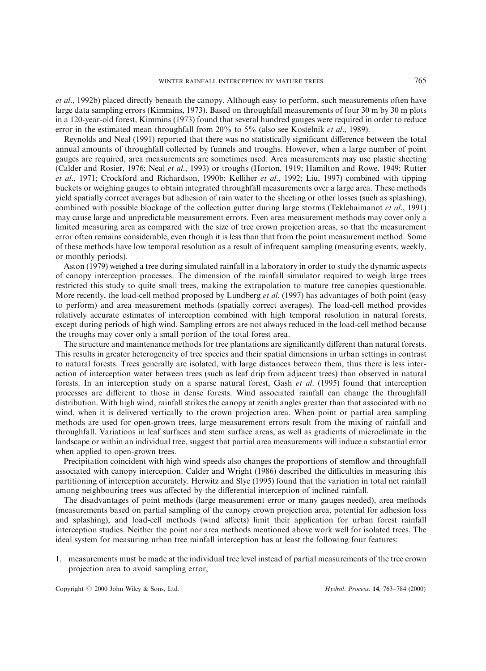et al., 1992b) placed directly beneath the canopy. Although easy to perform, such measurements often have large data sampling errors (Kimmins, 1973). Based on throughfall measurements of four 30 m by 30 m plots in a 120-year-old forest, Kimmins (1973) found that several hundred gauges were required in order to reduce error in the estimated mean throughfall from 20% to 5% (also see Kostelnik *et al.*, 1989).

Reynolds and Neal (1991) reported that there was no statistically significant difference between the total annual amounts of throughfall collected by funnels and troughs. However, when a large number of point gauges are required, area measurements are sometimes used. Area measurements may use plastic sheeting (Calder and Rosier, 1976; Neal et al., 1993) or troughs (Horton, 1919; Hamilton and Rowe, 1949; Rutter et al., 1971; Crockford and Richardson, 1990b; Kelliher et al., 1992; Liu, 1997) combined with tipping buckets or weighing gauges to obtain integrated throughfall measurements over a large area. These methods yield spatially correct averages but adhesion of rain water to the sheeting or other losses (such as splashing), combined with possible blockage of the collection gutter during large storms (Teklehaimanot et al., 1991) may cause large and unpredictable measurement errors. Even area measurement methods may cover only a limited measuring area as compared with the size of tree crown projection areas, so that the measurement error often remains considerable, even though it is less than that from the point measurement method. Some of these methods have low temporal resolution as a result of infrequent sampling (measuring events, weekly, or monthly periods).

Aston (1979) weighed a tree during simulated rainfall in a laboratory in order to study the dynamic aspects of canopy interception processes. The dimension of the rainfall simulator required to weigh large trees restricted this study to quite small trees, making the extrapolation to mature tree canopies questionable. More recently, the load-cell method proposed by Lundberg *et al.* (1997) has advantages of both point (easy to perform) and area measurement methods (spatially correct averages). The load-cell method provides relatively accurate estimates of interception combined with high temporal resolution in natural forests, except during periods of high wind. Sampling errors are not always reduced in the load-cell method because the troughs may cover only a small portion of the total forest area.

The structure and maintenance methods for tree plantations are significantly different than natural forests. This results in greater heterogeneity of tree species and their spatial dimensions in urban settings in contrast to natural forests. Trees generally are isolated, with large distances between them, thus there is less interaction of interception water between trees (such as leaf drip from adjacent trees) than observed in natural forests. In an interception study on a sparse natural forest, Gash et al. (1995) found that interception processes are different to those in dense forests. Wind associated rainfall can change the throughfall distribution. With high wind, rainfall strikes the canopy at zenith angles greater than that associated with no wind, when it is delivered vertically to the crown projection area. When point or partial area sampling methods are used for open-grown trees, large measurement errors result from the mixing of rainfall and throughfall. Variations in leaf surfaces and stem surface areas, as well as gradients of microclimate in the landscape or within an individual tree, suggest that partial area measurements will induce a substantial error when applied to open-grown trees.

Precipitation coincident with high wind speeds also changes the proportions of stemflow and throughfall associated with canopy interception. Calder and Wright (1986) described the difficulties in measuring this partitioning of interception accurately. Herwitz and Slye (1995) found that the variation in total net rainfall among neighbouring trees was affected by the differential interception of inclined rainfall.

The disadvantages of point methods (large measurement error or many gauges needed), area methods (measurements based on partial sampling of the canopy crown projection area, potential for adhesion loss and splashing), and load-cell methods (wind affects) limit their application for urban forest rainfall interception studies. Neither the point nor area methods mentioned above work well for isolated trees. The ideal system for measuring urban tree rainfall interception has at least the following four features:

1. measurements must be made at the individual tree level instead of partial measurements of the tree crown projection area to avoid sampling error;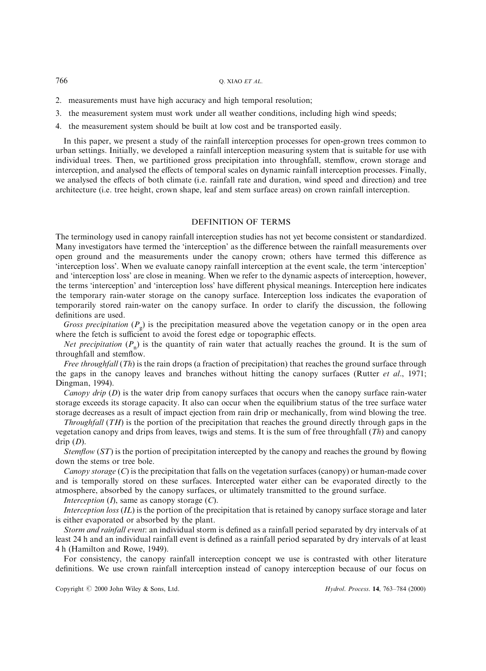- 2. measurements must have high accuracy and high temporal resolution;
- 3. the measurement system must work under all weather conditions, including high wind speeds;
- 4. the measurement system should be built at low cost and be transported easily.

In this paper, we present a study of the rainfall interception processes for open-grown trees common to urban settings. Initially, we developed a rainfall interception measuring system that is suitable for use with individual trees. Then, we partitioned gross precipitation into throughfall, stemflow, crown storage and interception, and analysed the effects of temporal scales on dynamic rainfall interception processes. Finally, we analysed the effects of both climate (i.e. rainfall rate and duration, wind speed and direction) and tree architecture (i.e. tree height, crown shape, leaf and stem surface areas) on crown rainfall interception.

# DEFINITION OF TERMS

The terminology used in canopy rainfall interception studies has not yet become consistent or standardized. Many investigators have termed the 'interception' as the difference between the rainfall measurements over open ground and the measurements under the canopy crown; others have termed this difference as `interception loss'. When we evaluate canopy rainfall interception at the event scale, the term `interception' and 'interception loss' are close in meaning. When we refer to the dynamic aspects of interception, however, the terms 'interception' and 'interception loss' have different physical meanings. Interception here indicates the temporary rain-water storage on the canopy surface. Interception loss indicates the evaporation of temporarily stored rain-water on the canopy surface. In order to clarify the discussion, the following definitions are used.

Gross precipitation  $(P_g)$  is the precipitation measured above the vegetation canopy or in the open area where the fetch is sufficient to avoid the forest edge or topographic effects.

*Net precipitation*  $(P_n)$  is the quantity of rain water that actually reaches the ground. It is the sum of throughfall and stemflow.

Free throughfall (Th) is the rain drops (a fraction of precipitation) that reaches the ground surface through the gaps in the canopy leaves and branches without hitting the canopy surfaces (Rutter et al., 1971; Dingman, 1994).

*Canopy drip*  $(D)$  is the water drip from canopy surfaces that occurs when the canopy surface rain-water storage exceeds its storage capacity. It also can occur when the equilibrium status of the tree surface water storage decreases as a result of impact ejection from rain drip or mechanically, from wind blowing the tree.

Throughfall (TH) is the portion of the precipitation that reaches the ground directly through gaps in the vegetation canopy and drips from leaves, twigs and stems. It is the sum of free throughfall  $(Th)$  and canopy drip  $(D)$ .

Stemflow  $(ST)$  is the portion of precipitation intercepted by the canopy and reaches the ground by flowing down the stems or tree bole.

Canopy storage  $(C)$  is the precipitation that falls on the vegetation surfaces (canopy) or human-made cover and is temporally stored on these surfaces. Intercepted water either can be evaporated directly to the atmosphere, absorbed by the canopy surfaces, or ultimately transmitted to the ground surface.

Interception  $(I)$ , same as canopy storage  $(C)$ .

*Interception loss*  $(IL)$  is the portion of the precipitation that is retained by canopy surface storage and later is either evaporated or absorbed by the plant.

Storm and rainfall event: an individual storm is defined as a rainfall period separated by dry intervals of at least 24 h and an individual rainfall event is defined as a rainfall period separated by dry intervals of at least 4 h (Hamilton and Rowe, 1949).

For consistency, the canopy rainfall interception concept we use is contrasted with other literature definitions. We use crown rainfall interception instead of canopy interception because of our focus on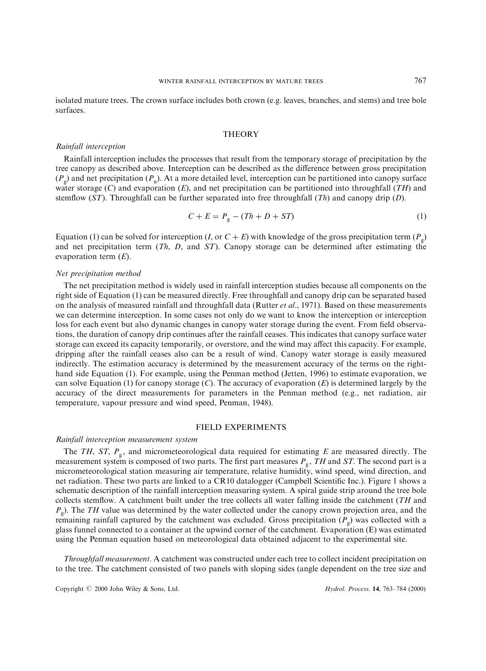isolated mature trees. The crown surface includes both crown (e.g. leaves, branches, and stems) and tree bole surfaces.

#### **THEORY**

## Rainfall interception

Rainfall interception includes the processes that result from the temporary storage of precipitation by the tree canopy as described above. Interception can be described as the difference between gross precipitation  $(P_g)$  and net precipitation  $(P_n)$ . At a more detailed level, interception can be partitioned into canopy surface water storage  $(C)$  and evaporation  $(E)$ , and net precipitation can be partitioned into throughfall  $(TH)$  and stemflow (ST). Throughfall can be further separated into free throughfall  $(Th)$  and canopy drip  $(D)$ .

$$
C + E = Pg - (Th + D + ST)
$$
 (1)

Equation (1) can be solved for interception (I, or  $C + E$ ) with knowledge of the gross precipitation term (P<sub>g</sub>) and net precipitation term  $(Th, D, \text{ and } ST)$ . Canopy storage can be determined after estimating the evaporation term  $(E)$ .

## Net precipitation method

The net precipitation method is widely used in rainfall interception studies because all components on the right side of Equation (1) can be measured directly. Free throughfall and canopy drip can be separated based on the analysis of measured rainfall and throughfall data (Rutter *et al.*, 1971). Based on these measurements we can determine interception. In some cases not only do we want to know the interception or interception loss for each event but also dynamic changes in canopy water storage during the event. From field observations, the duration of canopy drip continues after the rainfall ceases. This indicates that canopy surface water storage can exceed its capacity temporarily, or overstore, and the wind may affect this capacity. For example, dripping after the rainfall ceases also can be a result of wind. Canopy water storage is easily measured indirectly. The estimation accuracy is determined by the measurement accuracy of the terms on the righthand side Equation (1). For example, using the Penman method (Jetten, 1996) to estimate evaporation, we can solve Equation (1) for canopy storage  $(C)$ . The accuracy of evaporation  $(E)$  is determined largely by the accuracy of the direct measurements for parameters in the Penman method (e.g., net radiation, air temperature, vapour pressure and wind speed, Penman, 1948).

# FIELD EXPERIMENTS

#### Rainfall interception measurement system

The TH, ST,  $P_{g}$ , and micrometeorological data required for estimating E are measured directly. The measurement system is composed of two parts. The first part measures  $P_g$ , TH and ST. The second part is a micrometeorological station measuring air temperature, relative humidity, wind speed, wind direction, and net radiation. These two parts are linked to a CR10 datalogger (Campbell Scientific Inc.). Figure 1 shows a schematic description of the rainfall interception measuring system. A spiral guide strip around the tree bole collects stemflow. A catchment built under the tree collects all water falling inside the catchment ( $TH$  and  $P<sub>g</sub>$ ). The TH value was determined by the water collected under the canopy crown projection area, and the remaining rainfall captured by the catchment was excluded. Gross precipitation  $(P<sub>o</sub>)$  was collected with a glass funnel connected to a container at the upwind corner of the catchment. Evaporation (E) was estimated using the Penman equation based on meteorological data obtained adjacent to the experimental site.

Throughfall measurement. A catchment was constructed under each tree to collect incident precipitation on to the tree. The catchment consisted of two panels with sloping sides (angle dependent on the tree size and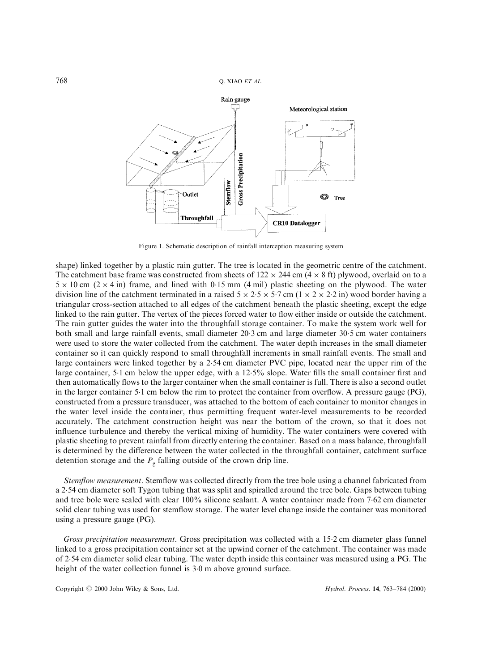

Figure 1. Schematic description of rainfall interception measuring system

shape) linked together by a plastic rain gutter. The tree is located in the geometric centre of the catchment. The catchment base frame was constructed from sheets of  $122 \times 244$  cm (4  $\times$  8 ft) plywood, overlaid on to a  $5 \times 10$  cm (2  $\times$  4 in) frame, and lined with 0.15 mm (4 mil) plastic sheeting on the plywood. The water division line of the catchment terminated in a raised  $5 \times 2.5 \times 5.7$  cm ( $1 \times 2 \times 2.2$  in) wood border having a triangular cross-section attached to all edges of the catchment beneath the plastic sheeting, except the edge linked to the rain gutter. The vertex of the pieces forced water to flow either inside or outside the catchment. The rain gutter guides the water into the throughfall storage container. To make the system work well for both small and large rainfall events, small diameter 20.3 cm and large diameter 30.5 cm water containers were used to store the water collected from the catchment. The water depth increases in the small diameter container so it can quickly respond to small throughfall increments in small rainfall events. The small and large containers were linked together by a 2.54 cm diameter PVC pipe, located near the upper rim of the large container, 5.1 cm below the upper edge, with a 12.5% slope. Water fills the small container first and then automatically flows to the larger container when the small container is full. There is also a second outlet in the larger container  $5.1$  cm below the rim to protect the container from overflow. A pressure gauge (PG), constructed from a pressure transducer, was attached to the bottom of each container to monitor changes in the water level inside the container, thus permitting frequent water-level measurements to be recorded accurately. The catchment construction height was near the bottom of the crown, so that it does not influence turbulence and thereby the vertical mixing of humidity. The water containers were covered with plastic sheeting to prevent rainfall from directly entering the container. Based on a mass balance, throughfall is determined by the difference between the water collected in the throughfall container, catchment surface detention storage and the  $P_g$  falling outside of the crown drip line.

Stemflow measurement. Stemflow was collected directly from the tree bole using a channel fabricated from a 2.54 cm diameter soft Tygon tubing that was split and spiralled around the tree bole. Gaps between tubing and tree bole were sealed with clear 100% silicone sealant. A water container made from 7.62 cm diameter solid clear tubing was used for stemflow storage. The water level change inside the container was monitored using a pressure gauge (PG).

Gross precipitation measurement. Gross precipitation was collected with a 15.2 cm diameter glass funnel linked to a gross precipitation container set at the upwind corner of the catchment. The container was made of 2.54 cm diameter solid clear tubing. The water depth inside this container was measured using a PG. The height of the water collection funnel is  $3.0 \text{ m}$  above ground surface.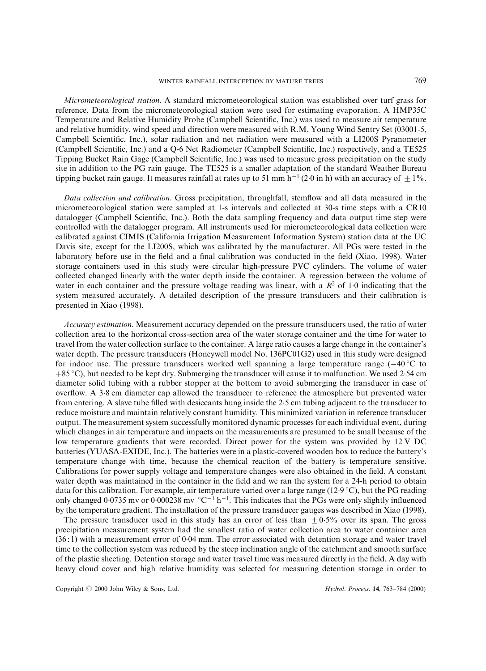Micrometeorological station. A standard micrometeorological station was established over turf grass for reference. Data from the micrometeorological station were used for estimating evaporation. A HMP35C Temperature and Relative Humidity Probe (Campbell Scientific, Inc.) was used to measure air temperature and relative humidity, wind speed and direction were measured with R.M. Young Wind Sentry Set (03001-5, Campbell Scientific, Inc.), solar radiation and net radiation were measured with a LI200S Pyranometer (Campbell Scientific, Inc.) and a Q-6 Net Radiometer (Campbell Scientific, Inc.) respectively, and a TE525 Tipping Bucket Rain Gage (Campbell Scientific, Inc.) was used to measure gross precipitation on the study site in addition to the PG rain gauge. The TE525 is a smaller adaptation of the standard Weather Bureau tipping bucket rain gauge. It measures rainfall at rates up to 51 mm h<sup>-1</sup> (2.0 in h) with an accuracy of  $\pm 1\%$ .

Data collection and calibration. Gross precipitation, throughfall, stemflow and all data measured in the micrometeorological station were sampled at 1-s intervals and collected at 30-s time steps with a CR10 datalogger (Campbell Scientific, Inc.). Both the data sampling frequency and data output time step were controlled with the datalogger program. All instruments used for micrometeorological data collection were calibrated against CIMIS (California Irrigation Measurement Information System) station data at the UC Davis site, except for the LI200S, which was calibrated by the manufacturer. All PGs were tested in the laboratory before use in the field and a final calibration was conducted in the field (Xiao, 1998). Water storage containers used in this study were circular high-pressure PVC cylinders. The volume of water collected changed linearly with the water depth inside the container. A regression between the volume of water in each container and the pressure voltage reading was linear, with a  $R<sup>2</sup>$  of 1.0 indicating that the system measured accurately. A detailed description of the pressure transducers and their calibration is presented in Xiao (1998).

Accuracy estimation. Measurement accuracy depended on the pressure transducers used, the ratio of water collection area to the horizontal cross-section area of the water storage container and the time for water to travel from the water collection surface to the container. A large ratio causes a large change in the container's water depth. The pressure transducers (Honeywell model No. 136PC01G2) used in this study were designed for indoor use. The pressure transducers worked well spanning a large temperature range  $(-40^{\circ}C)$  to  $+85$  °C), but needed to be kept dry. Submerging the transducer will cause it to malfunction. We used 2.54 cm diameter solid tubing with a rubber stopper at the bottom to avoid submerging the transducer in case of overflow. A 3.8 cm diameter cap allowed the transducer to reference the atmosphere but prevented water from entering. A slave tube filled with desiccants hung inside the 2.5 cm tubing adjacent to the transducer to reduce moisture and maintain relatively constant humidity. This minimized variation in reference transducer output. The measurement system successfully monitored dynamic processes for each individual event, during which changes in air temperature and impacts on the measurements are presumed to be small because of the low temperature gradients that were recorded. Direct power for the system was provided by 12 V DC batteries (YUASA-EXIDE, Inc.). The batteries were in a plastic-covered wooden box to reduce the battery's temperature change with time, because the chemical reaction of the battery is temperature sensitive. Calibrations for power supply voltage and temperature changes were also obtained in the field. A constant water depth was maintained in the container in the field and we ran the system for a 24-h period to obtain data for this calibration. For example, air temperature varied over a large range (12.9 °C), but the PG reading only changed 0.0735 mv or 0.000238 mv  $^{\circ}C^{-1}$  h<sup>-1</sup>. This indicates that the PGs were only slightly influenced by the temperature gradient. The installation of the pressure transducer gauges was described in Xiao (1998).

The pressure transducer used in this study has an error of less than  $\pm 0.5\%$  over its span. The gross precipitation measurement system had the smallest ratio of water collection area to water container area (36: 1) with a measurement error of 0.04 mm. The error associated with detention storage and water travel time to the collection system was reduced by the steep inclination angle of the catchment and smooth surface of the plastic sheeting. Detention storage and water travel time was measured directly in the field. A day with heavy cloud cover and high relative humidity was selected for measuring detention storage in order to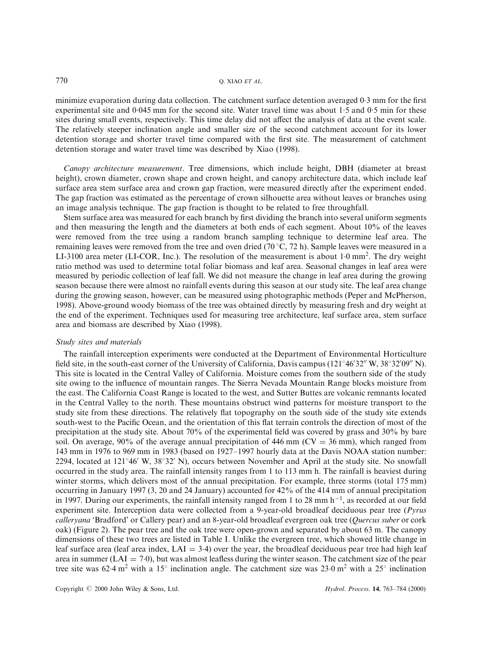minimize evaporation during data collection. The catchment surface detention averaged 0.3 mm for the first experimental site and 0.045 mm for the second site. Water travel time was about 1.5 and 0.5 min for these sites during small events, respectively. This time delay did not affect the analysis of data at the event scale. The relatively steeper inclination angle and smaller size of the second catchment account for its lower detention storage and shorter travel time compared with the first site. The measurement of catchment detention storage and water travel time was described by Xiao (1998).

Canopy architecture measurement. Tree dimensions, which include height, DBH (diameter at breast height), crown diameter, crown shape and crown height, and canopy architecture data, which include leaf surface area stem surface area and crown gap fraction, were measured directly after the experiment ended. The gap fraction was estimated as the percentage of crown silhouette area without leaves or branches using an image analysis technique. The gap fraction is thought to be related to free throughfall.

Stem surface area was measured for each branch by first dividing the branch into several uniform segments and then measuring the length and the diameters at both ends of each segment. About 10% of the leaves were removed from the tree using a random branch sampling technique to determine leaf area. The remaining leaves were removed from the tree and oven dried  $(70 °C, 72 h)$ . Sample leaves were measured in a LI-3100 area meter (LI-COR, Inc.). The resolution of the measurement is about 1.0 mm<sup>2</sup>. The dry weight ratio method was used to determine total foliar biomass and leaf area. Seasonal changes in leaf area were measured by periodic collection of leaf fall. We did not measure the change in leaf area during the growing season because there were almost no rainfall events during this season at our study site. The leaf area change during the growing season, however, can be measured using photographic methods (Peper and McPherson, 1998). Above-ground woody biomass of the tree was obtained directly by measuring fresh and dry weight at the end of the experiment. Techniques used for measuring tree architecture, leaf surface area, stem surface area and biomass are described by Xiao (1998).

# Study sites and materials

The rainfall interception experiments were conducted at the Department of Environmental Horticulture field site, in the south-east corner of the University of California, Davis campus  $(121°46'32'' W, 38°32'09'' N)$ . This site is located in the Central Valley of California. Moisture comes from the southern side of the study site owing to the influence of mountain ranges. The Sierra Nevada Mountain Range blocks moisture from the east. The California Coast Range is located to the west, and Sutter Buttes are volcanic remnants located in the Central Valley to the north. These mountains obstruct wind patterns for moisture transport to the study site from these directions. The relatively flat topography on the south side of the study site extends south-west to the Pacific Ocean, and the orientation of this flat terrain controls the direction of most of the precipitation at the study site. About  $70\%$  of the experimental field was covered by grass and  $30\%$  by bare soil. On average, 90% of the average annual precipitation of 446 mm ( $CV = 36$  mm), which ranged from 143 mm in 1976 to 969 mm in 1983 (based on 1927–1997 hourly data at the Davis NOAA station number: 2294, located at  $121^{\circ}46'$  W,  $38^{\circ}32'$  N), occurs between November and April at the study site. No snowfall occurred in the study area. The rainfall intensity ranges from 1 to 113 mm h. The rainfall is heaviest during winter storms, which delivers most of the annual precipitation. For example, three storms (total 175 mm) occurring in January 1997 (3, 20 and 24 January) accounted for 42% of the 414 mm of annual precipitation in 1997. During our experiments, the rainfall intensity ranged from 1 to 28 mm  $h^{-1}$ , as recorded at our field experiment site. Interception data were collected from a 9-year-old broadleaf deciduous pear tree (Pyrus calleryana 'Bradford' or Callery pear) and an 8-year-old broadleaf evergreen oak tree (Quercus suber or cork oak) (Figure 2). The pear tree and the oak tree were open-grown and separated by about 63 m. The canopy dimensions of these two trees are listed in Table I. Unlike the evergreen tree, which showed little change in leaf surface area (leaf area index,  $LAI = 3.4$ ) over the year, the broadleaf deciduous pear tree had high leaf area in summer (LAI  $=$  7.0), but was almost leafless during the winter season. The catchment size of the pear tree site was 62.4 m<sup>2</sup> with a 15° inclination angle. The catchment size was 23.0 m<sup>2</sup> with a 25° inclination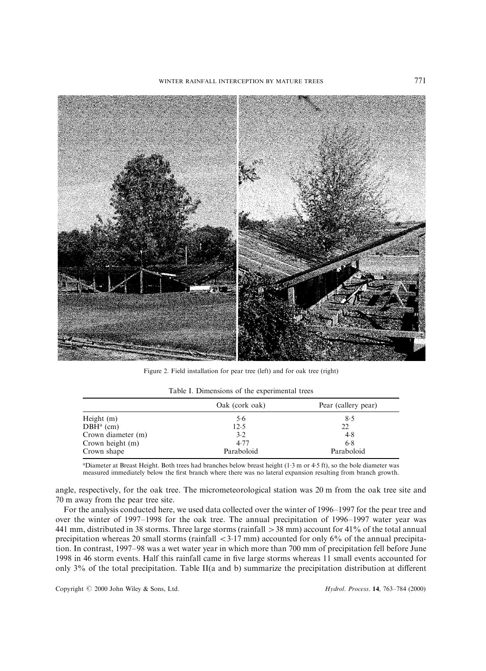

Figure 2. Field installation for pear tree (left) and for oak tree (right)

|  |  |  |  | Table I. Dimensions of the experimental trees |  |
|--|--|--|--|-----------------------------------------------|--|
|--|--|--|--|-----------------------------------------------|--|

|                    | Oak (cork oak) | Pear (callery pear) |
|--------------------|----------------|---------------------|
| Height $(m)$       | 5.6            | 8.5                 |
| $DBHa$ (cm)        | 12.5           | 22                  |
| Crown diameter (m) | 3.2            | 4.8                 |
| Crown height (m)   | 4.77           | 6.8                 |
| Crown shape        | Paraboloid     | Paraboloid          |

aDiameter at Breast Height. Both trees had branches below breast height (1.3 m or 4.5 ft), so the bole diameter was measured immediately below the first branch where there was no lateral expansion resulting from branch growth.

angle, respectively, for the oak tree. The micrometeorological station was 20 m from the oak tree site and 70 m away from the pear tree site.

For the analysis conducted here, we used data collected over the winter of 1996–1997 for the pear tree and over the winter of 1997–1998 for the oak tree. The annual precipitation of 1996–1997 water year was 441 mm, distributed in 38 storms. Three large storms (rainfall  $>$  38 mm) account for 41% of the total annual precipitation whereas 20 small storms (rainfall  $<$  3.17 mm) accounted for only 6% of the annual precipitation. In contrast, 1997-98 was a wet water year in which more than 700 mm of precipitation fell before June 1998 in 46 storm events. Half this rainfall came in five large storms whereas 11 small events accounted for only  $3\%$  of the total precipitation. Table II(a and b) summarize the precipitation distribution at different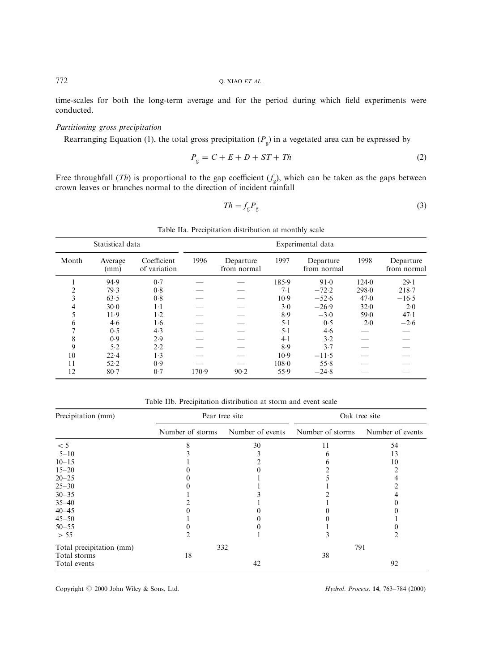772 Q. XIAO ET AL.

time-scales for both the long-term average and for the period during which field experiments were conducted.

# Partitioning gross precipitation

Rearranging Equation (1), the total gross precipitation  $(P_g)$  in a vegetated area can be expressed by

$$
P_g = C + E + D + ST + Th \tag{2}
$$

Free throughfall (Th) is proportional to the gap coefficient  $(f_g)$ , which can be taken as the gaps between crown leaves or branches normal to the direction of incident rainfall

$$
Th = f_g P_g \tag{3}
$$

| Table IIa. Precipitation distribution at monthly scale |                 |                             |       |                          |                   |                          |       |                          |
|--------------------------------------------------------|-----------------|-----------------------------|-------|--------------------------|-------------------|--------------------------|-------|--------------------------|
| Statistical data                                       |                 |                             |       |                          | Experimental data |                          |       |                          |
| Month                                                  | Average<br>(mm) | Coefficient<br>of variation | 1996  | Departure<br>from normal | 1997              | Departure<br>from normal | 1998  | Departure<br>from normal |
|                                                        | 94.9            | 0.7                         |       |                          | 185.9             | 91.0                     | 124.0 | 29.1                     |
|                                                        | 79.3            | 0.8                         |       |                          | $7-1$             | $-72.2$                  | 298.0 | 218.7                    |
| 3                                                      | 63.5            | 0.8                         |       |                          | $10-9$            | $-52.6$                  | 47.0  | $-16.5$                  |
| 4                                                      | $30-0$          | $1-1$                       |       |                          | $3-0$             | $-26.9$                  | 32.0  | 2.0                      |
|                                                        | 11.9            | $1-2$                       |       |                          | 8.9               | $-3.0$                   | 59.0  | 47.1                     |
| 6                                                      | 4.6             | 1·6                         |       |                          | $5-1$             | 0.5                      | 2.0   | $-2.6$                   |
|                                                        | 0.5             | 4.3                         |       |                          | $5-1$             | 4.6                      |       |                          |
| 8                                                      | 0.9             | 2.9                         |       |                          | $4-1$             | $3-2$                    |       |                          |
| 9                                                      | $5-2$           | 2.2                         |       |                          | 8.9               | 3.7                      |       |                          |
| 10                                                     | 22.4            | 1·3                         |       |                          | 10.9              | $-11.5$                  |       |                          |
| 11                                                     | 52.2            | 0.9                         |       |                          | $108 - 0$         | 55.8                     |       |                          |
| 12                                                     | $80-7$          | 0.7                         | 170.9 | 90.2                     | 55.9              | $-24.8$                  |       |                          |

| Precipitation (mm)       | Pear tree site   |                  | Oak tree site    |                  |
|--------------------------|------------------|------------------|------------------|------------------|
|                          | Number of storms | Number of events | Number of storms | Number of events |
| < 5                      | 8                | 30               | 11               | 54               |
| $5 - 10$                 |                  |                  |                  | 13               |
| $10 - 15$                |                  |                  |                  | 10               |
| $15 - 20$                |                  |                  |                  |                  |
| $20 - 25$                |                  |                  |                  |                  |
| $25 - 30$                |                  |                  |                  |                  |
| $30 - 35$                |                  |                  |                  |                  |
| $35 - 40$                |                  |                  |                  |                  |
| $40 - 45$                |                  |                  |                  |                  |
| $45 - 50$                |                  |                  |                  |                  |
| $50 - 55$                |                  |                  |                  |                  |
| > 55                     |                  |                  | ∍                |                  |
| Total precipitation (mm) |                  | 332              |                  | 791              |
| Total storms             | 18               |                  | 38               |                  |
| Total events             |                  | 42               |                  | 92               |

Table IIb. Precipitation distribution at storm and event scale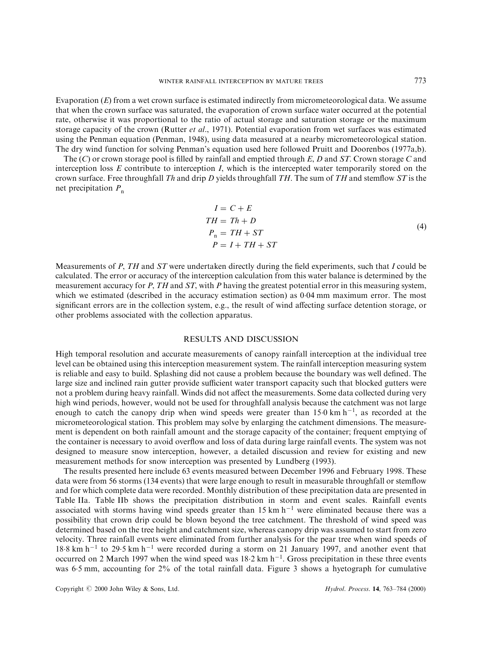Evaporation (E) from a wet crown surface is estimated indirectly from micrometeorological data. We assume that when the crown surface was saturated, the evaporation of crown surface water occurred at the potential rate, otherwise it was proportional to the ratio of actual storage and saturation storage or the maximum storage capacity of the crown (Rutter et al., 1971). Potential evaporation from wet surfaces was estimated using the Penman equation (Penman, 1948), using data measured at a nearby micrometeorological station. The dry wind function for solving Penman's equation used here followed Pruitt and Doorenbos (1977a,b).

The  $(C)$  or crown storage pool is filled by rainfall and emptied through E, D and ST. Crown storage C and interception loss  $E$  contribute to interception  $I$ , which is the intercepted water temporarily stored on the crown surface. Free throughfall Th and drip D yields throughfall TH. The sum of TH and stemflow  $ST$  is the net precipitation  $P_n$ 

$$
I = C + E
$$
  
\n
$$
TH = Th + D
$$
  
\n
$$
P_n = TH + ST
$$
  
\n
$$
P = I + TH + ST
$$
\n(4)

Measurements of P, TH and ST were undertaken directly during the field experiments, such that I could be calculated. The error or accuracy of the interception calculation from this water balance is determined by the measurement accuracy for P, TH and ST, with P having the greatest potential error in this measuring system, which we estimated (described in the accuracy estimation section) as 0.04 mm maximum error. The most significant errors are in the collection system, e.g., the result of wind affecting surface detention storage, or other problems associated with the collection apparatus.

# RESULTS AND DISCUSSION

High temporal resolution and accurate measurements of canopy rainfall interception at the individual tree level can be obtained using this interception measurement system. The rainfall interception measuring system is reliable and easy to build. Splashing did not cause a problem because the boundary was well defined. The large size and inclined rain gutter provide sufficient water transport capacity such that blocked gutters were not a problem during heavy rainfall. Winds did not affect the measurements. Some data collected during very high wind periods, however, would not be used for throughfall analysis because the catchment was not large enough to catch the canopy drip when wind speeds were greater than  $15.0 \text{ km h}^{-1}$ , as recorded at the micrometeorological station. This problem may solve by enlarging the catchment dimensions. The measurement is dependent on both rainfall amount and the storage capacity of the container; frequent emptying of the container is necessary to avoid overflow and loss of data during large rainfall events. The system was not designed to measure snow interception, however, a detailed discussion and review for existing and new measurement methods for snow interception was presented by Lundberg (1993).

The results presented here include 63 events measured between December 1996 and February 1998. These data were from 56 storms (134 events) that were large enough to result in measurable throughfall or stemflow and for which complete data were recorded. Monthly distribution of these precipitation data are presented in Table IIa. Table IIb shows the precipitation distribution in storm and event scales. Rainfall events associated with storms having wind speeds greater than  $15 \text{ km h}^{-1}$  were eliminated because there was a possibility that crown drip could be blown beyond the tree catchment. The threshold of wind speed was determined based on the tree height and catchment size, whereas canopy drip was assumed to start from zero velocity. Three rainfall events were eliminated from further analysis for the pear tree when wind speeds of  $18.8 \text{ km h}^{-1}$  to 29.5 km h<sup>-1</sup> were recorded during a storm on 21 January 1997, and another event that occurred on 2 March 1997 when the wind speed was  $18.2 \text{ km h}^{-1}$ . Gross precipitation in these three events was 6.5 mm, accounting for 2% of the total rainfall data. Figure 3 shows a hyetograph for cumulative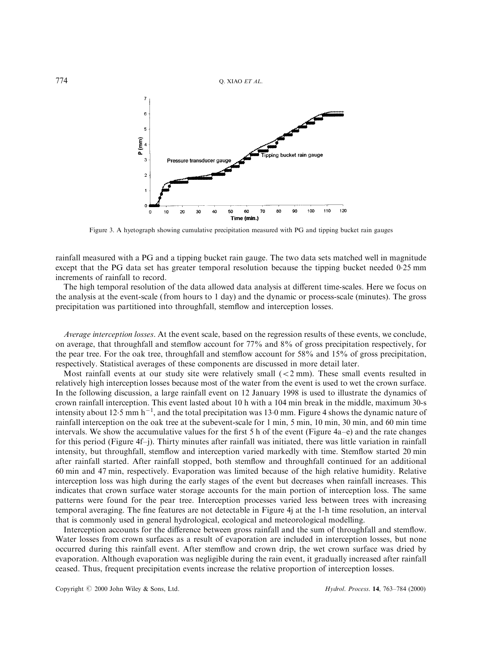774 Q. XIAO ET AL.



Figure 3. A hyetograph showing cumulative precipitation measured with PG and tipping bucket rain gauges

rainfall measured with a PG and a tipping bucket rain gauge. The two data sets matched well in magnitude except that the PG data set has greater temporal resolution because the tipping bucket needed 0.25 mm increments of rainfall to record.

The high temporal resolution of the data allowed data analysis at different time-scales. Here we focus on the analysis at the event-scale ( from hours to 1 day) and the dynamic or process-scale (minutes). The gross precipitation was partitioned into throughfall, stemflow and interception losses.

Average interception losses. At the event scale, based on the regression results of these events, we conclude, on average, that throughfall and stemflow account for 77% and 8% of gross precipitation respectively, for the pear tree. For the oak tree, throughfall and stem flow account for  $58\%$  and  $15\%$  of gross precipitation, respectively. Statistical averages of these components are discussed in more detail later.

Most rainfall events at our study site were relatively small  $(< 2 \text{ mm})$ . These small events resulted in relatively high interception losses because most of the water from the event is used to wet the crown surface. In the following discussion, a large rainfall event on 12 January 1998 is used to illustrate the dynamics of crown rainfall interception. This event lasted about 10 h with a 104 min break in the middle, maximum 30-s intensity about 12.5 mm  $h^{-1}$ , and the total precipitation was 13.0 mm. Figure 4 shows the dynamic nature of rainfall interception on the oak tree at the subevent-scale for 1 min, 5 min, 10 min, 30 min, and 60 min time intervals. We show the accumulative values for the first 5 h of the event (Figure  $4a-e$ ) and the rate changes for this period (Figure  $4f-j$ ). Thirty minutes after rainfall was initiated, there was little variation in rainfall intensity, but throughfall, stemflow and interception varied markedly with time. Stemflow started 20 min after rainfall started. After rainfall stopped, both stemflow and throughfall continued for an additional 60 min and 47 min, respectively. Evaporation was limited because of the high relative humidity. Relative interception loss was high during the early stages of the event but decreases when rainfall increases. This indicates that crown surface water storage accounts for the main portion of interception loss. The same patterns were found for the pear tree. Interception processes varied less between trees with increasing temporal averaging. The fine features are not detectable in Figure 4j at the 1-h time resolution, an interval that is commonly used in general hydrological, ecological and meteorological modelling.

Interception accounts for the difference between gross rainfall and the sum of throughfall and stemflow. Water losses from crown surfaces as a result of evaporation are included in interception losses, but none occurred during this rainfall event. After stemflow and crown drip, the wet crown surface was dried by evaporation. Although evaporation was negligible during the rain event, it gradually increased after rainfall ceased. Thus, frequent precipitation events increase the relative proportion of interception losses.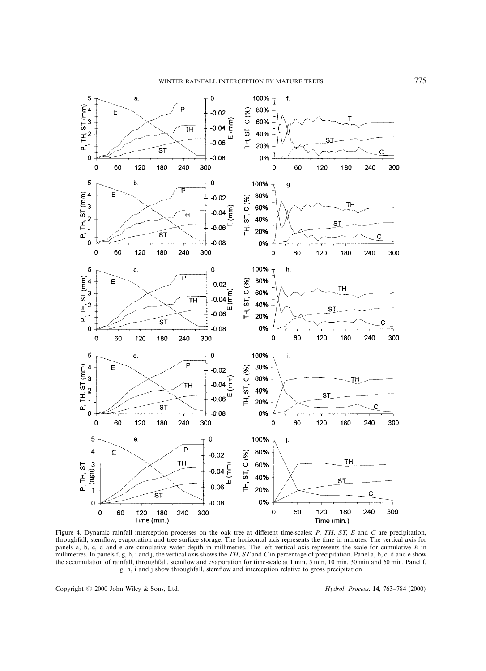

Figure 4. Dynamic rainfall interception processes on the oak tree at different time-scales:  $P$ ,  $TH$ ,  $ST$ ,  $E$  and  $C$  are precipitation, throughfall, stemflow, evaporation and tree surface storage. The horizontal axis represents the time in minutes. The vertical axis for panels a, b, c, d and e are cumulative water depth in millimetres. The left vertical axis represents the scale for cumulative  $E$  in millimetres. In panels f, g, h, i and j, the vertical axis shows the TH, ST and C in percentage of precipitation. Panel a, b, c, d and e show the accumulation of rainfall, throughfall, stemflow and evaporation for time-scale at 1 min, 5 min, 10 min, 30 min and 60 min. Panel f, g, h, i and j show throughfall, stemflow and interception relative to gross precipitation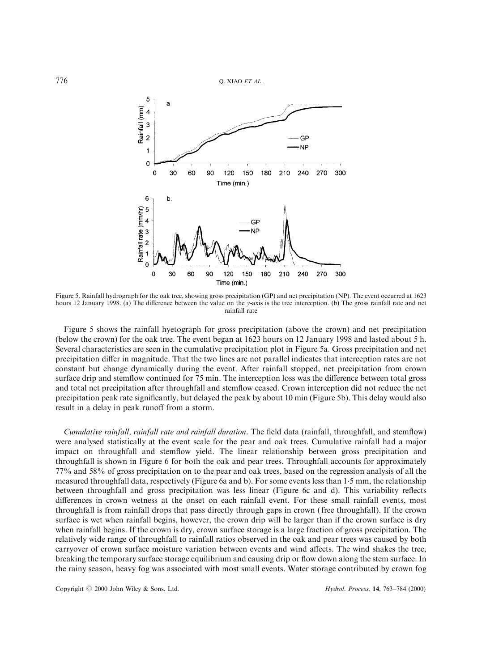776 Q. XIAO ET AL.



Figure 5. Rainfall hydrograph for the oak tree, showing gross precipitation (GP) and net precipitation (NP). The event occurred at 1623 hours 12 January 1998. (a) The difference between the value on the y-axis is the tree interception. (b) The gross rainfall rate and net rainfall rate

Figure 5 shows the rainfall hyetograph for gross precipitation (above the crown) and net precipitation (below the crown) for the oak tree. The event began at 1623 hours on 12 January 1998 and lasted about 5 h. Several characteristics are seen in the cumulative precipitation plot in Figure 5a. Gross precipitation and net precipitation differ in magnitude. That the two lines are not parallel indicates that interception rates are not constant but change dynamically during the event. After rainfall stopped, net precipitation from crown surface drip and stemflow continued for 75 min. The interception loss was the difference between total gross and total net precipitation after throughfall and stemflow ceased. Crown interception did not reduce the net precipitation peak rate significantly, but delayed the peak by about 10 min (Figure 5b). This delay would also result in a delay in peak runoff from a storm.

Cumulative rainfall, rainfall rate and rainfall duration. The field data (rainfall, throughfall, and stemflow) were analysed statistically at the event scale for the pear and oak trees. Cumulative rainfall had a major impact on throughfall and stemflow yield. The linear relationship between gross precipitation and throughfall is shown in Figure 6 for both the oak and pear trees. Throughfall accounts for approximately 77% and 58% of gross precipitation on to the pear and oak trees, based on the regression analysis of all the measured throughfall data, respectively (Figure 6a and b). For some events less than 1.5 mm, the relationship between throughfall and gross precipitation was less linear (Figure 6c and d). This variability reflects differences in crown wetness at the onset on each rainfall event. For these small rainfall events, most throughfall is from rainfall drops that pass directly through gaps in crown ( free throughfall). If the crown surface is wet when rainfall begins, however, the crown drip will be larger than if the crown surface is dry when rainfall begins. If the crown is dry, crown surface storage is a large fraction of gross precipitation. The relatively wide range of throughfall to rainfall ratios observed in the oak and pear trees was caused by both carryover of crown surface moisture variation between events and wind affects. The wind shakes the tree, breaking the temporary surface storage equilibrium and causing drip or flow down along the stem surface. In the rainy season, heavy fog was associated with most small events. Water storage contributed by crown fog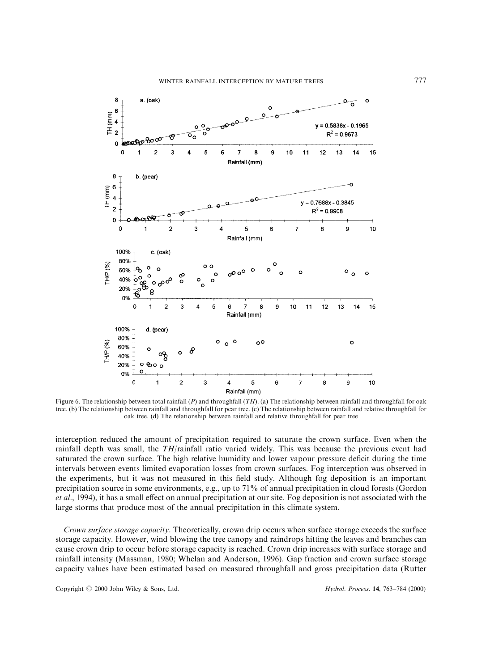

Figure 6. The relationship between total rainfall  $(P)$  and throughfall  $(TH)$ . (a) The relationship between rainfall and throughfall for oak tree. (b) The relationship between rainfall and throughfall for pear tree. (c) The relationship between rainfall and relative throughfall for oak tree. (d) The relationship between rainfall and relative throughfall for pear tree

interception reduced the amount of precipitation required to saturate the crown surface. Even when the rainfall depth was small, the TH/rainfall ratio varied widely. This was because the previous event had saturated the crown surface. The high relative humidity and lower vapour pressure deficit during the time intervals between events limited evaporation losses from crown surfaces. Fog interception was observed in the experiments, but it was not measured in this field study. Although fog deposition is an important precipitation source in some environments, e.g., up to 71% of annual precipitation in cloud forests (Gordon et al., 1994), it has a small effect on annual precipitation at our site. Fog deposition is not associated with the large storms that produce most of the annual precipitation in this climate system.

Crown surface storage capacity. Theoretically, crown drip occurs when surface storage exceeds the surface storage capacity. However, wind blowing the tree canopy and raindrops hitting the leaves and branches can cause crown drip to occur before storage capacity is reached. Crown drip increases with surface storage and rainfall intensity (Massman, 1980; Whelan and Anderson, 1996). Gap fraction and crown surface storage capacity values have been estimated based on measured throughfall and gross precipitation data (Rutter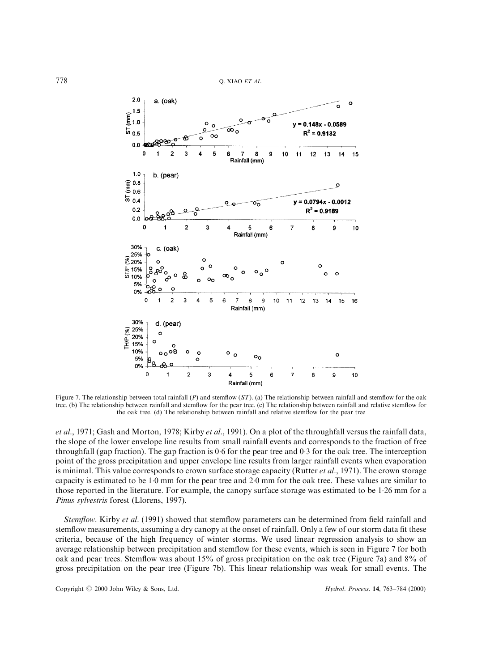

Figure 7. The relationship between total rainfall (P) and stemflow (ST). (a) The relationship between rainfall and stemflow for the oak tree. (b) The relationship between rainfall and stemflow for the pear tree. (c) The relationship between rainfall and relative stemflow for the oak tree. (d) The relationship between rainfall and relative stemflow for the pear tree

et al., 1971; Gash and Morton, 1978; Kirby et al., 1991). On a plot of the throughfall versus the rainfall data, the slope of the lower envelope line results from small rainfall events and corresponds to the fraction of free throughfall (gap fraction). The gap fraction is 0.6 for the pear tree and 0.3 for the oak tree. The interception point of the gross precipitation and upper envelope line results from larger rainfall events when evaporation is minimal. This value corresponds to crown surface storage capacity (Rutter et al., 1971). The crown storage capacity is estimated to be 1.0 mm for the pear tree and 2.0 mm for the oak tree. These values are similar to those reported in the literature. For example, the canopy surface storage was estimated to be 1.26 mm for a Pinus sylvestris forest (Llorens, 1997).

Stemflow. Kirby et al. (1991) showed that stemflow parameters can be determined from field rainfall and stemflow measurements, assuming a dry canopy at the onset of rainfall. Only a few of our storm data fit these criteria, because of the high frequency of winter storms. We used linear regression analysis to show an average relationship between precipitation and stemflow for these events, which is seen in Figure 7 for both oak and pear trees. Stemflow was about 15% of gross precipitation on the oak tree (Figure 7a) and  $8\%$  of gross precipitation on the pear tree (Figure 7b). This linear relationship was weak for small events. The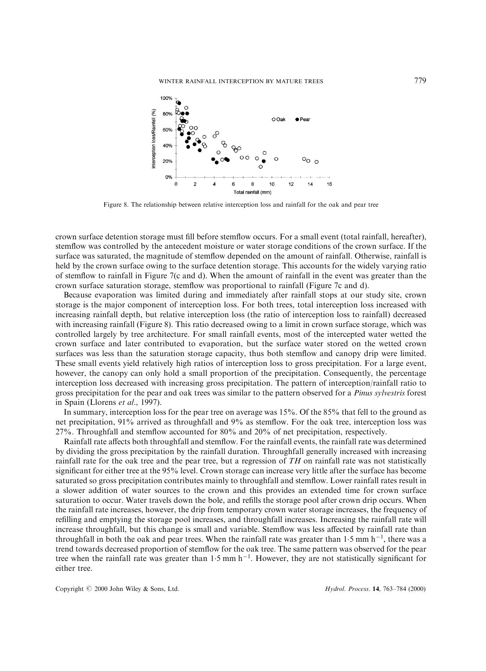

Figure 8. The relationship between relative interception loss and rainfall for the oak and pear tree

crown surface detention storage must fill before stemflow occurs. For a small event (total rainfall, hereafter), stemflow was controlled by the antecedent moisture or water storage conditions of the crown surface. If the surface was saturated, the magnitude of stemflow depended on the amount of rainfall. Otherwise, rainfall is held by the crown surface owing to the surface detention storage. This accounts for the widely varying ratio of stem flow to rainfall in Figure 7(c and d). When the amount of rainfall in the event was greater than the crown surface saturation storage, stemflow was proportional to rainfall (Figure 7c and d).

Because evaporation was limited during and immediately after rainfall stops at our study site, crown storage is the major component of interception loss. For both trees, total interception loss increased with increasing rainfall depth, but relative interception loss (the ratio of interception loss to rainfall) decreased with increasing rainfall (Figure 8). This ratio decreased owing to a limit in crown surface storage, which was controlled largely by tree architecture. For small rainfall events, most of the intercepted water wetted the crown surface and later contributed to evaporation, but the surface water stored on the wetted crown surfaces was less than the saturation storage capacity, thus both stemflow and canopy drip were limited. These small events yield relatively high ratios of interception loss to gross precipitation. For a large event, however, the canopy can only hold a small proportion of the precipitation. Consequently, the percentage interception loss decreased with increasing gross precipitation. The pattern of interception/rainfall ratio to gross precipitation for the pear and oak trees was similar to the pattern observed for a Pinus sylvestris forest in Spain (Llorens et al., 1997).

In summary, interception loss for the pear tree on average was 15%. Of the 85% that fell to the ground as net precipitation, 91% arrived as throughfall and 9% as stemflow. For the oak tree, interception loss was 27%. Throughfall and stemflow accounted for 80% and 20% of net precipitation, respectively.

Rainfall rate affects both throughfall and stemflow. For the rainfall events, the rainfall rate was determined by dividing the gross precipitation by the rainfall duration. Throughfall generally increased with increasing rainfall rate for the oak tree and the pear tree, but a regression of  $TH$  on rainfall rate was not statistically significant for either tree at the 95% level. Crown storage can increase very little after the surface has become saturated so gross precipitation contributes mainly to throughfall and stemflow. Lower rainfall rates result in a slower addition of water sources to the crown and this provides an extended time for crown surface saturation to occur. Water travels down the bole, and refills the storage pool after crown drip occurs. When the rainfall rate increases, however, the drip from temporary crown water storage increases, the frequency of refilling and emptying the storage pool increases, and throughfall increases. Increasing the rainfall rate will increase throughfall, but this change is small and variable. Stemflow was less affected by rainfall rate than throughfall in both the oak and pear trees. When the rainfall rate was greater than  $1.5$  mm  $h^{-1}$ , there was a trend towards decreased proportion of stemflow for the oak tree. The same pattern was observed for the pear tree when the rainfall rate was greater than  $1.5 \text{ mm} \text{ h}^{-1}$ . However, they are not statistically significant for either tree.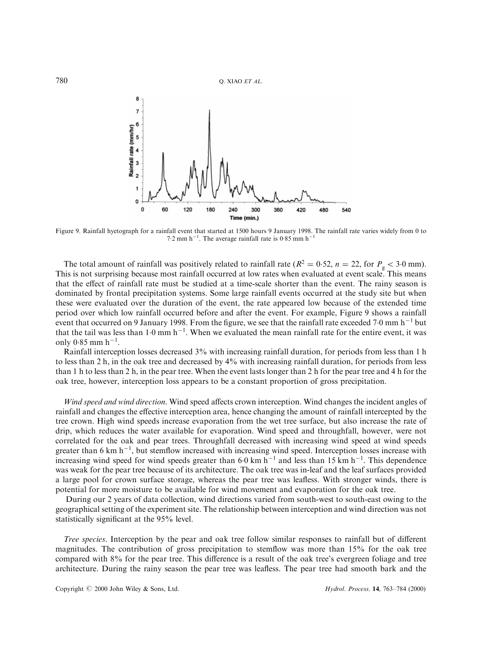

Figure 9. Rainfall hyetograph for a rainfall event that started at 1500 hours 9 January 1998. The rainfall rate varies widely from 0 to 7.2 mm h<sup>-1</sup>. The average rainfall rate is  $0.85$  mm h<sup>-1</sup>

The total amount of rainfall was positively related to rainfall rate ( $R^2 = 0.52$ ,  $n = 22$ , for  $P_g < 3.0$  mm). This is not surprising because most rainfall occurred at low rates when evaluated at event scale. This means that the effect of rainfall rate must be studied at a time-scale shorter than the event. The rainy season is dominated by frontal precipitation systems. Some large rainfall events occurred at the study site but when these were evaluated over the duration of the event, the rate appeared low because of the extended time period over which low rainfall occurred before and after the event. For example, Figure 9 shows a rainfall event that occurred on 9 January 1998. From the figure, we see that the rainfall rate exceeded 7.0 mm h<sup>-1</sup> but that the tail was less than  $1.0 \text{ mm h}^{-1}$ . When we evaluated the mean rainfall rate for the entire event, it was only  $0.85$  mm  $h^{-1}$ .

Rainfall interception losses decreased 3% with increasing rainfall duration, for periods from less than 1 h to less than 2 h, in the oak tree and decreased by 4% with increasing rainfall duration, for periods from less than 1 h to less than 2 h, in the pear tree. When the event lasts longer than 2 h for the pear tree and 4 h for the oak tree, however, interception loss appears to be a constant proportion of gross precipitation.

Wind speed and wind direction. Wind speed affects crown interception. Wind changes the incident angles of rainfall and changes the effective interception area, hence changing the amount of rainfall intercepted by the tree crown. High wind speeds increase evaporation from the wet tree surface, but also increase the rate of drip, which reduces the water available for evaporation. Wind speed and throughfall, however, were not correlated for the oak and pear trees. Throughfall decreased with increasing wind speed at wind speeds greater than 6 km  $h^{-1}$ , but stemflow increased with increasing wind speed. Interception losses increase with increasing wind speed for wind speeds greater than  $6.0 \text{ km h}^{-1}$  and less than 15 km h<sup>-1</sup>. This dependence was weak for the pear tree because of its architecture. The oak tree was in-leaf and the leaf surfaces provided a large pool for crown surface storage, whereas the pear tree was leafless. With stronger winds, there is potential for more moisture to be available for wind movement and evaporation for the oak tree.

During our 2 years of data collection, wind directions varied from south-west to south-east owing to the geographical setting of the experiment site. The relationship between interception and wind direction was not statistically significant at the 95% level.

Tree species. Interception by the pear and oak tree follow similar responses to rainfall but of different magnitudes. The contribution of gross precipitation to stem ow was more than  $15\%$  for the oak tree compared with 8% for the pear tree. This difference is a result of the oak tree's evergreen foliage and tree architecture. During the rainy season the pear tree was leafless. The pear tree had smooth bark and the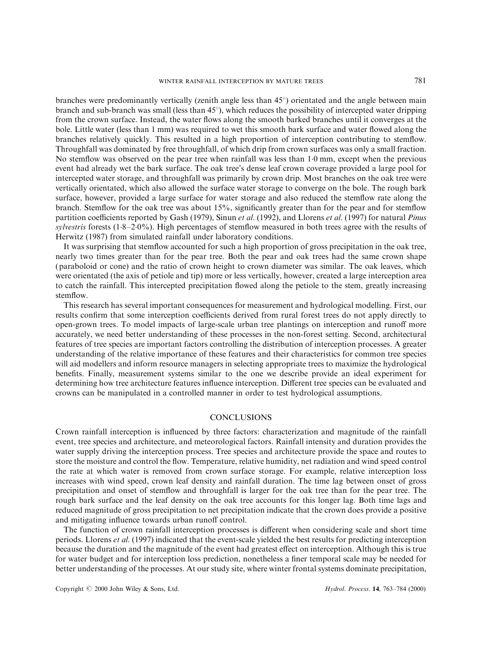branches were predominantly vertically (zenith angle less than  $45^{\circ}$ ) orientated and the angle between main branch and sub-branch was small (less than  $45^{\circ}$ ), which reduces the possibility of intercepted water dripping from the crown surface. Instead, the water flows along the smooth barked branches until it converges at the bole. Little water (less than 1 mm) was required to wet this smooth bark surface and water flowed along the branches relatively quickly. This resulted in a high proportion of interception contributing to stemflow. Throughfall was dominated by free throughfall, of which drip from crown surfaces was only a small fraction. No stem $f$  was observed on the pear tree when rainfall was less than  $1.0$  mm, except when the previous event had already wet the bark surface. The oak tree's dense leaf crown coverage provided a large pool for intercepted water storage, and throughfall was primarily by crown drip. Most branches on the oak tree were vertically orientated, which also allowed the surface water storage to converge on the bole. The rough bark surface, however, provided a large surface for water storage and also reduced the stemflow rate along the branch. Stemflow for the oak tree was about  $15\%$ , significantly greater than for the pear and for stemflow partition coefficients reported by Gash (1979), Sinun et al. (1992), and Llorens et al. (1997) for natural Pinus sylvestris forests  $(1.8-2.0\%)$ . High percentages of stemflow measured in both trees agree with the results of Herwitz (1987) from simulated rainfall under laboratory conditions.

It was surprising that stemflow accounted for such a high proportion of gross precipitation in the oak tree, nearly two times greater than for the pear tree. Both the pear and oak trees had the same crown shape (paraboloid or cone) and the ratio of crown height to crown diameter was similar. The oak leaves, which were orientated (the axis of petiole and tip) more or less vertically, however, created a large interception area to catch the rainfall. This intercepted precipitation flowed along the petiole to the stem, greatly increasing stemflow.

This research has several important consequences for measurement and hydrological modelling. First, our results confirm that some interception coefficients derived from rural forest trees do not apply directly to open-grown trees. To model impacts of large-scale urban tree plantings on interception and runoff more accurately, we need better understanding of these processes in the non-forest setting. Second, architectural features of tree species are important factors controlling the distribution of interception processes. A greater understanding of the relative importance of these features and their characteristics for common tree species will aid modellers and inform resource managers in selecting appropriate trees to maximize the hydrological benefits. Finally, measurement systems similar to the one we describe provide an ideal experiment for determining how tree architecture features influence interception. Different tree species can be evaluated and crowns can be manipulated in a controlled manner in order to test hydrological assumptions.

# **CONCLUSIONS**

Crown rainfall interception is influenced by three factors: characterization and magnitude of the rainfall event, tree species and architecture, and meteorological factors. Rainfall intensity and duration provides the water supply driving the interception process. Tree species and architecture provide the space and routes to store the moisture and control the flow. Temperature, relative humidity, net radiation and wind speed control the rate at which water is removed from crown surface storage. For example, relative interception loss increases with wind speed, crown leaf density and rainfall duration. The time lag between onset of gross precipitation and onset of stemflow and throughfall is larger for the oak tree than for the pear tree. The rough bark surface and the leaf density on the oak tree accounts for this longer lag. Both time lags and reduced magnitude of gross precipitation to net precipitation indicate that the crown does provide a positive and mitigating influence towards urban runoff control.

The function of crown rainfall interception processes is different when considering scale and short time periods. Llorens et al. (1997) indicated that the event-scale yielded the best results for predicting interception because the duration and the magnitude of the event had greatest effect on interception. Although this is true for water budget and for interception loss prediction, nonetheless a finer temporal scale may be needed for better understanding of the processes. At our study site, where winter frontal systems dominate precipitation,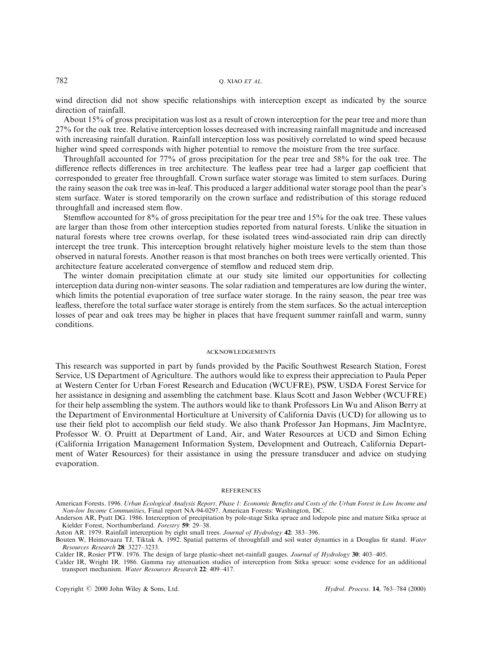wind direction did not show specific relationships with interception except as indicated by the source direction of rainfall.

About 15% of gross precipitation was lost as a result of crown interception for the pear tree and more than 27% for the oak tree. Relative interception losses decreased with increasing rainfall magnitude and increased with increasing rainfall duration. Rainfall interception loss was positively correlated to wind speed because higher wind speed corresponds with higher potential to remove the moisture from the tree surface.

Throughfall accounted for 77% of gross precipitation for the pear tree and 58% for the oak tree. The difference reflects differences in tree architecture. The leafless pear tree had a larger gap coefficient that corresponded to greater free throughfall. Crown surface water storage was limited to stem surfaces. During the rainy season the oak tree was in-leaf. This produced a larger additional water storage pool than the pear's stem surface. Water is stored temporarily on the crown surface and redistribution of this storage reduced throughfall and increased stem flow.

Stemflow accounted for  $8\%$  of gross precipitation for the pear tree and  $15\%$  for the oak tree. These values are larger than those from other interception studies reported from natural forests. Unlike the situation in natural forests where tree crowns overlap, for these isolated trees wind-associated rain drip can directly intercept the tree trunk. This interception brought relatively higher moisture levels to the stem than those observed in natural forests. Another reason is that most branches on both trees were vertically oriented. This architecture feature accelerated convergence of stemflow and reduced stem drip.

The winter domain precipitation climate at our study site limited our opportunities for collecting interception data during non-winter seasons. The solar radiation and temperatures are low during the winter, which limits the potential evaporation of tree surface water storage. In the rainy season, the pear tree was leafless, therefore the total surface water storage is entirely from the stem surfaces. So the actual interception losses of pear and oak trees may be higher in places that have frequent summer rainfall and warm, sunny conditions.

#### ACKNOWLEDGEMENTS

This research was supported in part by funds provided by the Pacific Southwest Research Station, Forest Service, US Department of Agriculture. The authors would like to express their appreciation to Paula Peper at Western Center for Urban Forest Research and Education (WCUFRE), PSW, USDA Forest Service for her assistance in designing and assembling the catchment base. Klaus Scott and Jason Webber (WCUFRE) for their help assembling the system. The authors would like to thank Professors Lin Wu and Alison Berry at the Department of Environmental Horticulture at University of California Davis (UCD) for allowing us to use their field plot to accomplish our field study. We also thank Professor Jan Hopmans, Jim MacIntyre, Professor W. O. Pruitt at Department of Land, Air, and Water Resources at UCD and Simon Eching (California Irrigation Management Information System, Development and Outreach, California Department of Water Resources) for their assistance in using the pressure transducer and advice on studying evaporation.

#### **REFERENCES**

Anderson AR, Pyatt DG. 1986. Interception of precipitation by pole-stage Sitka spruce and lodepole pine and mature Sitka spruce at Kielder Forest, Northumberland. Forestry 59: 29-38.

Aston AR. 1979. Rainfall interception by eight small trees. Journal of Hydrology 42: 383-396.

Bouten W, Heimovaara TJ, Tiktak A. 1992. Spatial patterns of throughfall and soil water dynamics in a Douglas fir stand. Water  $Resources$  Research  $28: 3227-3233.$ 

Calder IR, Rosier PTW. 1976. The design of large plastic-sheet net-rainfall gauges. Journal of Hydrology 30: 403-405.

Calder IR, Wright IR. 1986. Gamma ray attenuation studies of interception from Sitka spruce: some evidence for an additional transport mechanism. Water Resources Research 22: 409-417.

American Forests. 1996. Urban Ecological Analysis Report, Phase 1: Economic Benefits and Costs of the Urban Forest in Low Income and Non-low Income Communities, Final report NA-94-0297. American Forests: Washington, DC.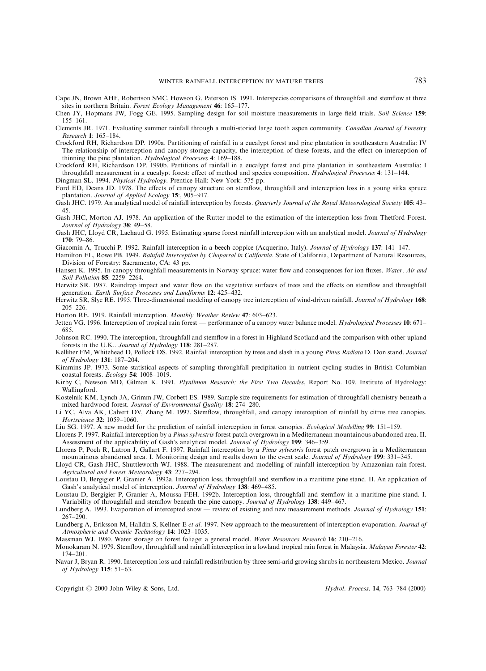- Cape JN, Brown AHF, Robertson SMC, Howson G, Paterson IS. 1991. Interspecies comparisons of throughfall and stemflow at three sites in northern Britain. Forest Ecology Management 46: 165-177.
- Chen JY, Hopmans JW, Fogg GE. 1995. Sampling design for soil moisture measurements in large field trials. Soil Science 159: 155±161.
- Clements JR. 1971. Evaluating summer rainfall through a multi-storied large tooth aspen community. Canadian Journal of Forestry Research 1: 165-184.
- Crockford RH, Richardson DP. 1990a. Partitioning of rainfall in a eucalypt forest and pine plantation in southeastern Australia: IV The relationship of interception and canopy storage capacity, the interception of these forests, and the effect on interception of thinning the pine plantation. Hydrological Processes 4: 169-188.
- Crockford RH, Richardson DP. 1990b. Partitions of rainfall in a eucalypt forest and pine plantation in southeastern Australia: I throughfall measurement in a eucalypt forest: effect of method and species composition. Hydrological Processes 4: 131-144.
- Dingman SL. 1994. Physical Hydrology. Prentice Hall: New York: 575 pp.
- Ford ED, Deans JD. 1978. The effects of canopy structure on stemflow, throughfall and interception loss in a young sitka spruce plantation. Journal of Applied Ecology 15:, 905-917.
- Gash JHC. 1979. An analytical model of rainfall interception by forests. Quarterly Journal of the Royal Meteorological Society 105: 43-45.
- Gash JHC, Morton AJ. 1978. An application of the Rutter model to the estimation of the interception loss from Thetford Forest. Journal of Hydrology 38: 49-58.
- Gash JHC, Lloyd CR, Lachaud G. 1995. Estimating sparse forest rainfall interception with an analytical model. Journal of Hydrology 170:  $79-86$ .
- Giacomin A, Trucchi P. 1992. Rainfall interception in a beech coppice (Acquerino, Italy). Journal of Hydrology 137: 141-147.
- Hamilton EL, Rowe PB. 1949. Rainfall Interception by Chaparral in California. State of California, Department of Natural Resources, Division of Forestry: Sacramento, CA: 43 pp.
- Hansen K. 1995. In-canopy throughfall measurements in Norway spruce: water flow and consequences for ion fluxes. Water, Air and Soil Pollution 85: 2259-2264.
- Herwitz SR. 1987. Raindrop impact and water flow on the vegetative surfaces of trees and the effects on stemflow and throughfall generation. Earth Surface Processes and Landforms 12: 425-432.
- Herwitz SR, Slye RE. 1995. Three-dimensional modeling of canopy tree interception of wind-driven rainfall. Journal of Hydrology 168:  $205 - 226$ .
- Horton RE. 1919. Rainfall interception. Monthly Weather Review 47: 603-623.
- Jetten VG. 1996. Interception of tropical rain forest performance of a canopy water balance model. *Hydrological Processes* 10: 671– 685.
- Johnson RC. 1990. The interception, throughfall and stemflow in a forest in Highland Scotland and the comparison with other upland forests in the U.K.. Journal of Hydrology 118: 281-287.
- Kelliher FM, Whitehead D, Pollock DS. 1992. Rainfall interception by trees and slash in a young Pinus Radiata D. Don stand. Journal of Hydrology 131: 187-204.
- Kimmins JP. 1973. Some statistical aspects of sampling throughfall precipitation in nutrient cycling studies in British Columbian coastal forests. Ecology 54: 1008-1019.
- Kirby C, Newson MD, Gilman K. 1991. Plynlimon Research: the First Two Decades, Report No. 109. Institute of Hydrology: Wallingford.
- Kostelnik KM, Lynch JA, Grimm JW, Corbett ES. 1989. Sample size requirements for estimation of throughfall chemistry beneath a mixed hardwood forest. Journal of Environmental Quality 18: 274-280.
- Li YC, Alva AK, Calvert DV, Zhang M. 1997. Stemflow, throughfall, and canopy interception of rainfall by citrus tree canopies. Hortscience 32: 1059-1060.
- Liu SG. 1997. A new model for the prediction of rainfall interception in forest canopies. Ecological Modelling 99: 151-159.
- Llorens P. 1997. Rainfall interception by a Pinus sylvestris forest patch overgrown in a Mediterranean mountainous abandoned area. II. Assessment of the applicability of Gash's analytical model. Journal of Hydrology 199: 346–359.
- Llorens P, Poch R, Latron J, Gallart F. 1997. Rainfall interception by a Pinus sylvestris forest patch overgrown in a Mediterranean mountainous abandoned area. I. Monitoring design and results down to the event scale. Journal of Hydrology 199: 331-345.
- Lloyd CR, Gash JHC, Shuttleworth WJ. 1988. The measurement and modelling of rainfall interception by Amazonian rain forest. Agricultural and Forest Meteorology 43: 277-294.
- Loustau D, Bergigier P, Granier A. 1992a. Interception loss, throughfall and stemflow in a maritime pine stand. II. An application of Gash's analytical model of interception. Journal of Hydrology 138: 469-485.
- Loustau D, Bergigier P, Granier A, Moussa FEH. 1992b. Interception loss, throughfall and stemflow in a maritime pine stand. I. Variability of throughfall and stemflow beneath the pine canopy. Journal of Hydrology 138: 449-467.
- Lundberg A. 1993. Evaporation of intercepted snow review of existing and new measurement methods. Journal of Hydrology 151: 267±290.
- Lundberg A, Eriksson M, Halldin S, Kellner E et al. 1997. New approach to the measurement of interception evaporation. Journal of Atmospheric and Oceanic Technology 14: 1023-1035.
- Massman WJ. 1980. Water storage on forest foliage: a general model. Water Resources Research 16: 210-216.
- Monokaram N. 1979. Stemflow, throughfall and rainfall interception in a lowland tropical rain forest in Malaysia. Malayan Forester 42: 174±201.
- Navar J, Bryan R. 1990. Interception loss and rainfall redistribution by three semi-arid growing shrubs in northeastern Mexico. Journal of Hydrology  $115: 51-63$ .